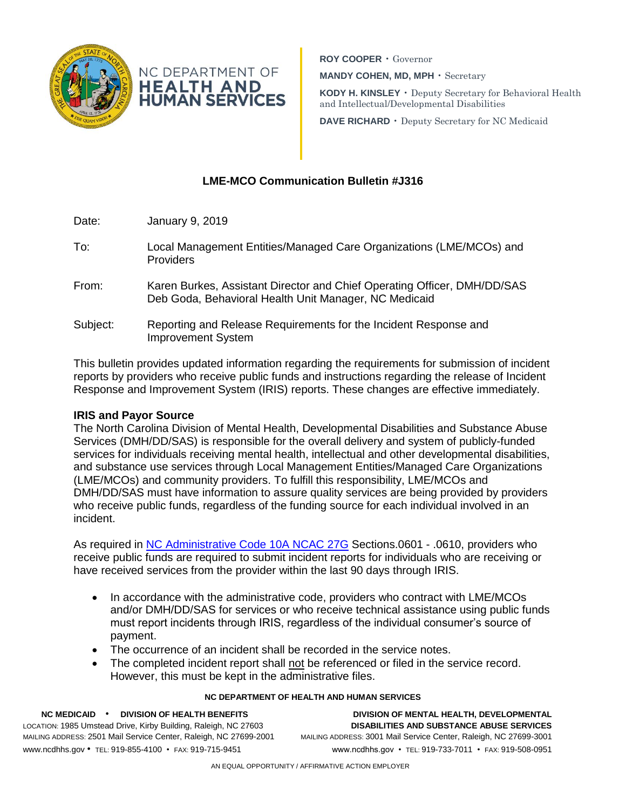

**ROY COOPER** • Governor **MANDY COHEN, MD, MPH** • Secretary

**KODY H. KINSLEY** • Deputy Secretary for Behavioral Health and Intellectual/Developmental Disabilities

**DAVE RICHARD** • Deputy Secretary for NC Medicaid

# **LME-MCO Communication Bulletin #J316**

| Date:    | January 9, 2019                                                                                                                   |
|----------|-----------------------------------------------------------------------------------------------------------------------------------|
| To:      | Local Management Entities/Managed Care Organizations (LME/MCOs) and<br><b>Providers</b>                                           |
| From:    | Karen Burkes, Assistant Director and Chief Operating Officer, DMH/DD/SAS<br>Deb Goda, Behavioral Health Unit Manager, NC Medicaid |
| Subject: | Reporting and Release Requirements for the Incident Response and<br><b>Improvement System</b>                                     |

This bulletin provides updated information regarding the requirements for submission of incident reports by providers who receive public funds and instructions regarding the release of Incident Response and Improvement System (IRIS) reports. These changes are effective immediately.

### **IRIS and Payor Source**

The North Carolina Division of Mental Health, Developmental Disabilities and Substance Abuse Services (DMH/DD/SAS) is responsible for the overall delivery and system of publicly-funded services for individuals receiving mental health, intellectual and other developmental disabilities, and substance use services through Local Management Entities/Managed Care Organizations (LME/MCOs) and community providers. To fulfill this responsibility, LME/MCOs and DMH/DD/SAS must have information to assure quality services are being provided by providers who receive public funds, regardless of the funding source for each individual involved in an incident.

As required in [NC Administrative Code 10A NCAC 27G](http://reports.oah.state.nc.us/ncac/title%2010a%20-%20health%20and%20human%20services/chapter%2027%20-%20mental%20health,%20community%20facilities%20and%20services/subchapter%20g/subchapter%20g%20rules.pdf) Sections.0601 - .0610, providers who receive public funds are required to submit incident reports for individuals who are receiving or have received services from the provider within the last 90 days through IRIS.

- In accordance with the administrative code, providers who contract with LME/MCOs and/or DMH/DD/SAS for services or who receive technical assistance using public funds must report incidents through IRIS, regardless of the individual consumer's source of payment.
- The occurrence of an incident shall be recorded in the service notes.
- The completed incident report shall not be referenced or filed in the service record. However, this must be kept in the administrative files.

#### **NC DEPARTMENT OF HEALTH AND HUMAN SERVICES**

LOCATION: 1985 Umstead Drive, Kirby Building, Raleigh, NC 27603 **DISABILITIES AND SUBSTANCE ABUSE SERVICES** MAILING ADDRESS: 2501 Mail Service Center, Raleigh, NC 27699-2001 MAILING ADDRESS: 3001 Mail Service Center, Raleigh, NC 27699-3001 www.ncdhhs.gov • TEL: 919-855-4100 • FAX: 919-715-9451 www.ncdhhs.gov • TEL: 919-733-7011 • FAX: 919-508-0951

**NC MEDICAID** • **DIVISION OF HEALTH BENEFITS DIVISION OF MENTAL HEALTH, DEVELOPMENTAL**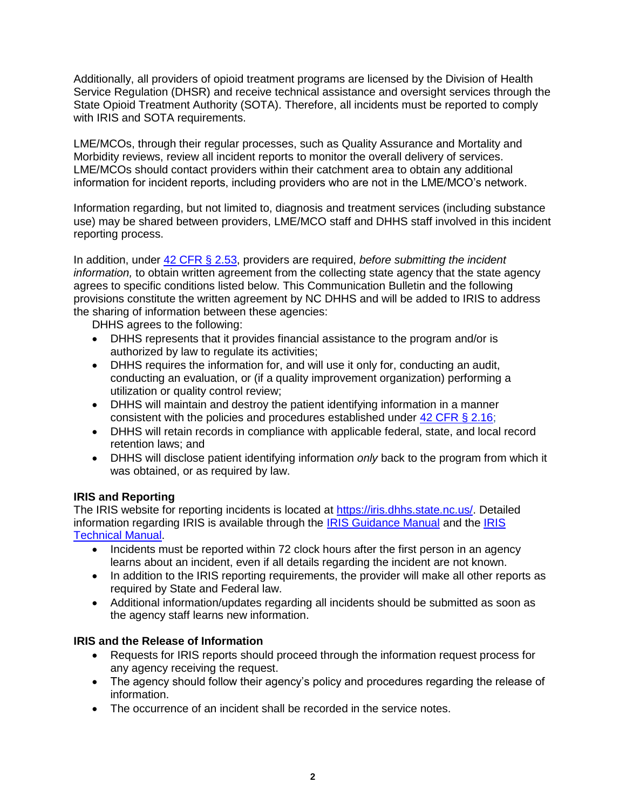Additionally, all providers of opioid treatment programs are licensed by the Division of Health Service Regulation (DHSR) and receive technical assistance and oversight services through the State Opioid Treatment Authority (SOTA). Therefore, all incidents must be reported to comply with IRIS and SOTA requirements.

LME/MCOs, through their regular processes, such as Quality Assurance and Mortality and Morbidity reviews, review all incident reports to monitor the overall delivery of services. LME/MCOs should contact providers within their catchment area to obtain any additional information for incident reports, including providers who are not in the LME/MCO's network.

Information regarding, but not limited to, diagnosis and treatment services (including substance use) may be shared between providers, LME/MCO staff and DHHS staff involved in this incident reporting process.

In addition, under [42 CFR § 2.53,](https://www.law.cornell.edu/cfr/text/42/2.53) providers are required, *before submitting the incident information,* to obtain written agreement from the collecting state agency that the state agency agrees to specific conditions listed below. This Communication Bulletin and the following provisions constitute the written agreement by NC DHHS and will be added to IRIS to address the sharing of information between these agencies:

DHHS agrees to the following:

- DHHS represents that it provides financial assistance to the program and/or is authorized by law to regulate its activities;
- DHHS requires the information for, and will use it only for, conducting an audit, conducting an evaluation, or (if a quality improvement organization) performing a utilization or quality control review;
- DHHS will maintain and destroy the patient identifying information in a manner consistent with the policies and procedures established under [42 CFR § 2.16;](https://www.law.cornell.edu/cfr/text/42/2.16)
- DHHS will retain records in compliance with applicable federal, state, and local record retention laws; and
- DHHS will disclose patient identifying information *only* back to the program from which it was obtained, or as required by law.

## **IRIS and Reporting**

The IRIS website for reporting incidents is located at [https://iris.dhhs.state.nc.us/.](https://iris.dhhs.state.nc.us/) Detailed information regarding IRIS is available through the [IRIS Guidance Manual](https://files.nc.gov/ncdhhs/documents/files/incidentmanual2-25-11.pdf) and the [IRIS](https://files.nc.gov/ncdhhs/documents/files/iris6-4-10dhhsmanual.pdf)  [Technical Manual.](https://files.nc.gov/ncdhhs/documents/files/iris6-4-10dhhsmanual.pdf)

- Incidents must be reported within 72 clock hours after the first person in an agency learns about an incident, even if all details regarding the incident are not known.
- In addition to the IRIS reporting requirements, the provider will make all other reports as required by State and Federal law.
- Additional information/updates regarding all incidents should be submitted as soon as the agency staff learns new information.

## **IRIS and the Release of Information**

- Requests for IRIS reports should proceed through the information request process for any agency receiving the request.
- The agency should follow their agency's policy and procedures regarding the release of information.
- The occurrence of an incident shall be recorded in the service notes.